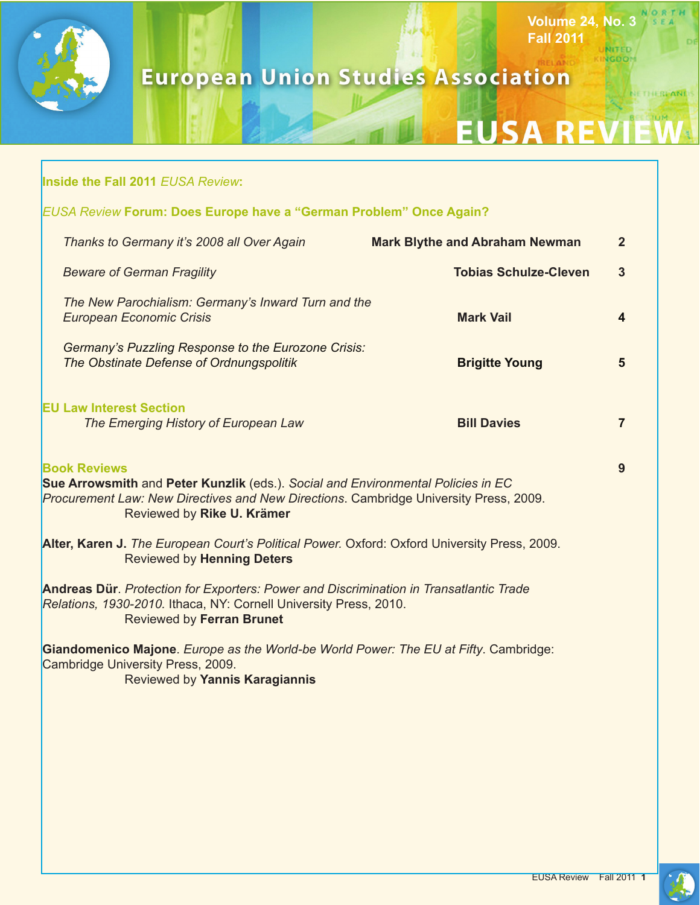

г

# ELAND **European Union Studies Association**

# EUSA REVI

**Fall 2011**

**Volume 24, No. 3**

**NITED NGDON**  NORTH

NETHEREANDS

| <b>Inside the Fall 2011 EUSA Review:</b>                                                                                                                                                                                       |                                       |                |
|--------------------------------------------------------------------------------------------------------------------------------------------------------------------------------------------------------------------------------|---------------------------------------|----------------|
| <b>EUSA Review Forum: Does Europe have a "German Problem" Once Again?</b>                                                                                                                                                      |                                       |                |
| Thanks to Germany it's 2008 all Over Again                                                                                                                                                                                     | <b>Mark Blythe and Abraham Newman</b> | $\mathbf{2}$   |
| <b>Beware of German Fragility</b>                                                                                                                                                                                              | <b>Tobias Schulze-Cleven</b>          | $\mathbf{3}$   |
| The New Parochialism: Germany's Inward Turn and the<br><b>European Economic Crisis</b>                                                                                                                                         | <b>Mark Vail</b>                      | 4              |
| Germany's Puzzling Response to the Eurozone Crisis:<br>The Obstinate Defense of Ordnungspolitik                                                                                                                                | <b>Brigitte Young</b>                 | 5              |
| <b>EU Law Interest Section</b><br>The Emerging History of European Law                                                                                                                                                         | <b>Bill Davies</b>                    | $\overline{7}$ |
| <b>Book Reviews</b><br>Sue Arrowsmith and Peter Kunzlik (eds.). Social and Environmental Policies in EC<br>Procurement Law: New Directives and New Directions. Cambridge University Press, 2009.<br>Reviewed by Rike U. Krämer |                                       |                |
| Alter, Karen J. The European Court's Political Power. Oxford: Oxford University Press, 2009.<br><b>Reviewed by Henning Deters</b>                                                                                              |                                       |                |
| Andreas Dür. Protection for Exporters: Power and Discrimination in Transatlantic Trade<br>Relations, 1930-2010. Ithaca, NY: Cornell University Press, 2010.<br><b>Reviewed by Ferran Brunet</b>                                |                                       |                |
| Giandomenico Majone. Europe as the World-be World Power: The EU at Fifty. Cambridge:<br>Cambridge University Press, 2009.<br>Reviewed by Yannis Karagiannis                                                                    |                                       |                |
|                                                                                                                                                                                                                                |                                       |                |
|                                                                                                                                                                                                                                |                                       |                |
|                                                                                                                                                                                                                                |                                       |                |
|                                                                                                                                                                                                                                |                                       |                |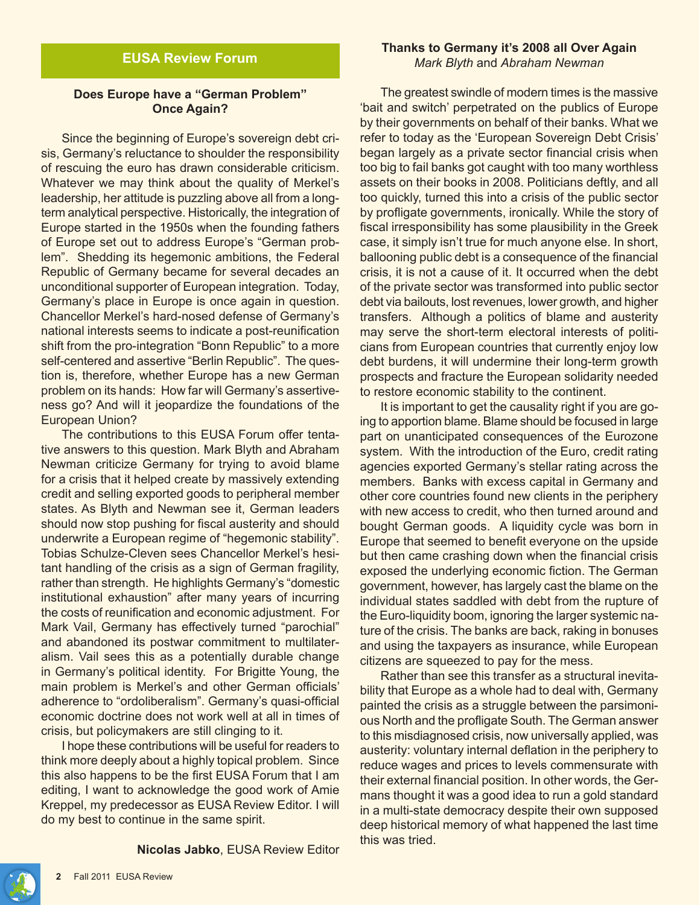# **EUSA Review Forum**

#### **Does Europe have a "German Problem" Once Again?**

Since the beginning of Europe's sovereign debt crisis, Germany's reluctance to shoulder the responsibility of rescuing the euro has drawn considerable criticism. Whatever we may think about the quality of Merkel's leadership, her attitude is puzzling above all from a longterm analytical perspective. Historically, the integration of Europe started in the 1950s when the founding fathers of Europe set out to address Europe's "German problem". Shedding its hegemonic ambitions, the Federal Republic of Germany became for several decades an unconditional supporter of European integration. Today, Germany's place in Europe is once again in question. Chancellor Merkel's hard-nosed defense of Germany's national interests seems to indicate a post-reunification shift from the pro-integration "Bonn Republic" to a more self-centered and assertive "Berlin Republic". The question is, therefore, whether Europe has a new German problem on its hands: How far will Germany's assertiveness go? And will it jeopardize the foundations of the European Union?

The contributions to this EUSA Forum offer tentative answers to this question. Mark Blyth and Abraham Newman criticize Germany for trying to avoid blame for a crisis that it helped create by massively extending credit and selling exported goods to peripheral member states. As Blyth and Newman see it, German leaders should now stop pushing for fiscal austerity and should underwrite a European regime of "hegemonic stability". Tobias Schulze-Cleven sees Chancellor Merkel's hesitant handling of the crisis as a sign of German fragility, rather than strength. He highlights Germany's "domestic institutional exhaustion" after many years of incurring the costs of reunification and economic adjustment. For Mark Vail, Germany has effectively turned "parochial" and abandoned its postwar commitment to multilateralism. Vail sees this as a potentially durable change in Germany's political identity. For Brigitte Young, the main problem is Merkel's and other German officials' adherence to "ordoliberalism". Germany's quasi-official economic doctrine does not work well at all in times of crisis, but policymakers are still clinging to it.

I hope these contributions will be useful for readers to think more deeply about a highly topical problem. Since this also happens to be the first EUSA Forum that I am editing, I want to acknowledge the good work of Amie Kreppel, my predecessor as EUSA Review Editor. I will do my best to continue in the same spirit.

**Nicolas Jabko**, EUSA Review Editor

#### **Thanks to Germany it's 2008 all Over Again** *Mark Blyth* and *Abraham Newman*

The greatest swindle of modern times is the massive 'bait and switch' perpetrated on the publics of Europe by their governments on behalf of their banks. What we refer to today as the 'European Sovereign Debt Crisis' began largely as a private sector financial crisis when too big to fail banks got caught with too many worthless assets on their books in 2008. Politicians deftly, and all too quickly, turned this into a crisis of the public sector by profligate governments, ironically. While the story of fiscal irresponsibility has some plausibility in the Greek case, it simply isn't true for much anyone else. In short, ballooning public debt is a consequence of the financial crisis, it is not a cause of it. It occurred when the debt of the private sector was transformed into public sector debt via bailouts, lost revenues, lower growth, and higher transfers. Although a politics of blame and austerity may serve the short-term electoral interests of politicians from European countries that currently enjoy low debt burdens, it will undermine their long-term growth prospects and fracture the European solidarity needed to restore economic stability to the continent.

It is important to get the causality right if you are going to apportion blame. Blame should be focused in large part on unanticipated consequences of the Eurozone system. With the introduction of the Euro, credit rating agencies exported Germany's stellar rating across the members. Banks with excess capital in Germany and other core countries found new clients in the periphery with new access to credit, who then turned around and bought German goods. A liquidity cycle was born in Europe that seemed to benefit everyone on the upside but then came crashing down when the financial crisis exposed the underlying economic fiction. The German government, however, has largely cast the blame on the individual states saddled with debt from the rupture of the Euro-liquidity boom, ignoring the larger systemic nature of the crisis. The banks are back, raking in bonuses and using the taxpayers as insurance, while European citizens are squeezed to pay for the mess.

Rather than see this transfer as a structural inevitability that Europe as a whole had to deal with, Germany painted the crisis as a struggle between the parsimonious North and the profligate South. The German answer to this misdiagnosed crisis, now universally applied, was austerity: voluntary internal deflation in the periphery to reduce wages and prices to levels commensurate with their external financial position. In other words, the Germans thought it was a good idea to run a gold standard in a multi-state democracy despite their own supposed deep historical memory of what happened the last time this was tried.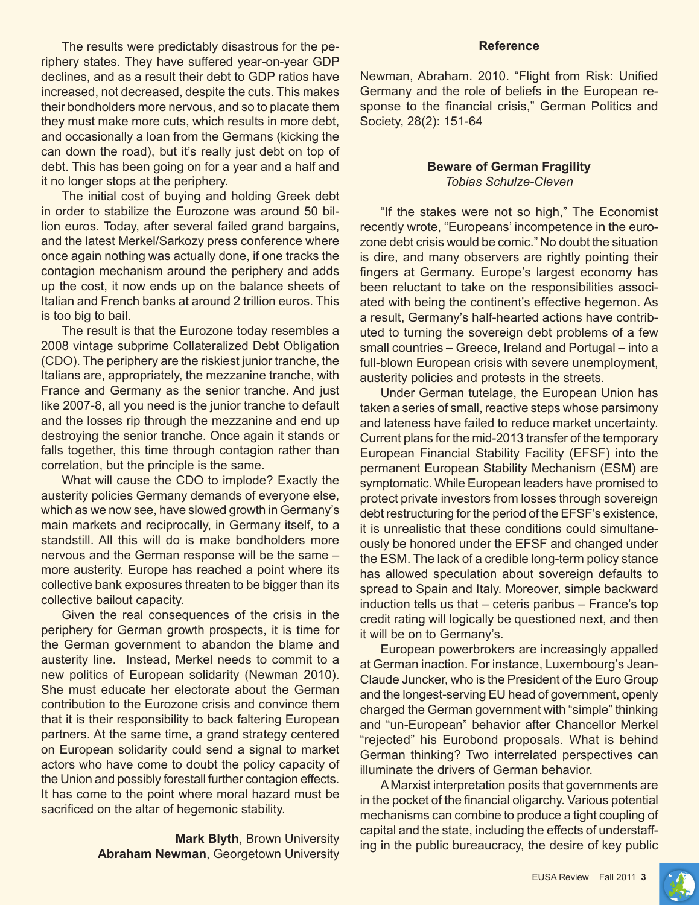The results were predictably disastrous for the periphery states. They have suffered year-on-year GDP declines, and as a result their debt to GDP ratios have increased, not decreased, despite the cuts. This makes their bondholders more nervous, and so to placate them they must make more cuts, which results in more debt, and occasionally a loan from the Germans (kicking the can down the road), but it's really just debt on top of debt. This has been going on for a year and a half and it no longer stops at the periphery.

The initial cost of buying and holding Greek debt in order to stabilize the Eurozone was around 50 billion euros. Today, after several failed grand bargains, and the latest Merkel/Sarkozy press conference where once again nothing was actually done, if one tracks the contagion mechanism around the periphery and adds up the cost, it now ends up on the balance sheets of Italian and French banks at around 2 trillion euros. This is too big to bail.

The result is that the Eurozone today resembles a 2008 vintage subprime Collateralized Debt Obligation (CDO). The periphery are the riskiest junior tranche, the Italians are, appropriately, the mezzanine tranche, with France and Germany as the senior tranche. And just like 2007-8, all you need is the junior tranche to default and the losses rip through the mezzanine and end up destroying the senior tranche. Once again it stands or falls together, this time through contagion rather than correlation, but the principle is the same.

What will cause the CDO to implode? Exactly the austerity policies Germany demands of everyone else, which as we now see, have slowed growth in Germany's main markets and reciprocally, in Germany itself, to a standstill. All this will do is make bondholders more nervous and the German response will be the same – more austerity. Europe has reached a point where its collective bank exposures threaten to be bigger than its collective bailout capacity.

Given the real consequences of the crisis in the periphery for German growth prospects, it is time for the German government to abandon the blame and austerity line. Instead, Merkel needs to commit to a new politics of European solidarity (Newman 2010). She must educate her electorate about the German contribution to the Eurozone crisis and convince them that it is their responsibility to back faltering European partners. At the same time, a grand strategy centered on European solidarity could send a signal to market actors who have come to doubt the policy capacity of the Union and possibly forestall further contagion effects. It has come to the point where moral hazard must be sacrificed on the altar of hegemonic stability.

> **Mark Blyth**, Brown University **Abraham Newman**, Georgetown University

#### **Reference**

Newman, Abraham. 2010. "Flight from Risk: Unified Germany and the role of beliefs in the European response to the financial crisis," German Politics and Society, 28(2): 151-64

#### **Beware of German Fragility** *Tobias Schulze-Cleven*

"If the stakes were not so high," The Economist recently wrote, "Europeans' incompetence in the eurozone debt crisis would be comic." No doubt the situation is dire, and many observers are rightly pointing their fingers at Germany. Europe's largest economy has been reluctant to take on the responsibilities associated with being the continent's effective hegemon. As a result, Germany's half-hearted actions have contributed to turning the sovereign debt problems of a few small countries – Greece, Ireland and Portugal – into a full-blown European crisis with severe unemployment, austerity policies and protests in the streets.

Under German tutelage, the European Union has taken a series of small, reactive steps whose parsimony and lateness have failed to reduce market uncertainty. Current plans for the mid-2013 transfer of the temporary European Financial Stability Facility (EFSF) into the permanent European Stability Mechanism (ESM) are symptomatic. While European leaders have promised to protect private investors from losses through sovereign debt restructuring for the period of the EFSF's existence, it is unrealistic that these conditions could simultaneously be honored under the EFSF and changed under the ESM. The lack of a credible long-term policy stance has allowed speculation about sovereign defaults to spread to Spain and Italy. Moreover, simple backward induction tells us that – ceteris paribus – France's top credit rating will logically be questioned next, and then it will be on to Germany's.

European powerbrokers are increasingly appalled at German inaction. For instance, Luxembourg's Jean-Claude Juncker, who is the President of the Euro Group and the longest-serving EU head of government, openly charged the German government with "simple" thinking and "un-European" behavior after Chancellor Merkel "rejected" his Eurobond proposals. What is behind German thinking? Two interrelated perspectives can illuminate the drivers of German behavior.

A Marxist interpretation posits that governments are in the pocket of the financial oligarchy. Various potential mechanisms can combine to produce a tight coupling of capital and the state, including the effects of understaffing in the public bureaucracy, the desire of key public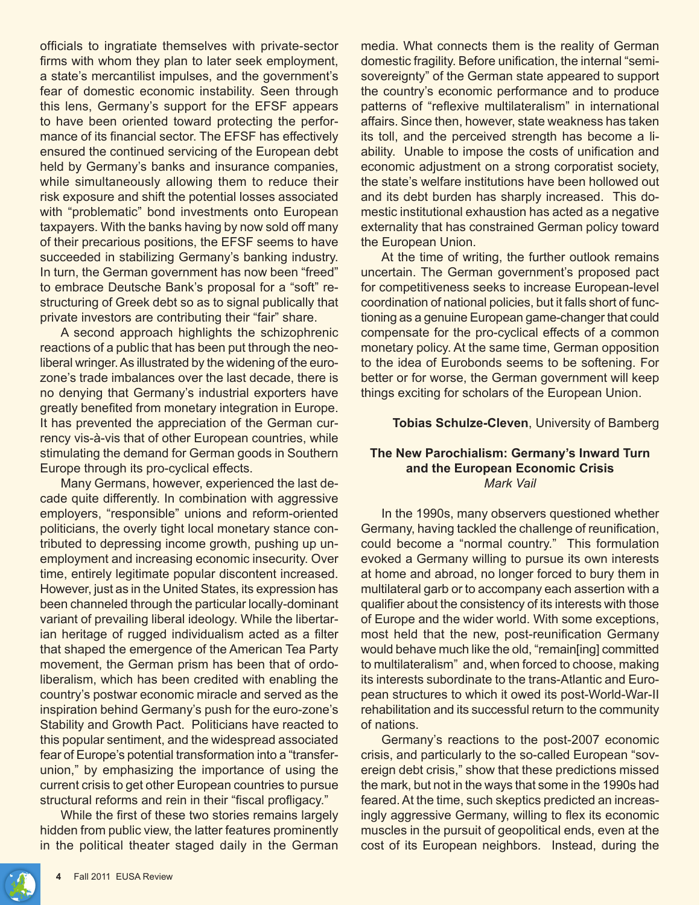officials to ingratiate themselves with private-sector firms with whom they plan to later seek employment, a state's mercantilist impulses, and the government's fear of domestic economic instability. Seen through this lens, Germany's support for the EFSF appears to have been oriented toward protecting the performance of its financial sector. The EFSF has effectively ensured the continued servicing of the European debt held by Germany's banks and insurance companies, while simultaneously allowing them to reduce their risk exposure and shift the potential losses associated with "problematic" bond investments onto European taxpayers. With the banks having by now sold off many of their precarious positions, the EFSF seems to have succeeded in stabilizing Germany's banking industry. In turn, the German government has now been "freed" to embrace Deutsche Bank's proposal for a "soft" restructuring of Greek debt so as to signal publically that private investors are contributing their "fair" share.

A second approach highlights the schizophrenic reactions of a public that has been put through the neoliberal wringer. As illustrated by the widening of the eurozone's trade imbalances over the last decade, there is no denying that Germany's industrial exporters have greatly benefited from monetary integration in Europe. It has prevented the appreciation of the German currency vis-à-vis that of other European countries, while stimulating the demand for German goods in Southern Europe through its pro-cyclical effects.

Many Germans, however, experienced the last decade quite differently. In combination with aggressive employers, "responsible" unions and reform-oriented politicians, the overly tight local monetary stance contributed to depressing income growth, pushing up unemployment and increasing economic insecurity. Over time, entirely legitimate popular discontent increased. However, just as in the United States, its expression has been channeled through the particular locally-dominant variant of prevailing liberal ideology. While the libertarian heritage of rugged individualism acted as a filter that shaped the emergence of the American Tea Party movement, the German prism has been that of ordoliberalism, which has been credited with enabling the country's postwar economic miracle and served as the inspiration behind Germany's push for the euro-zone's Stability and Growth Pact. Politicians have reacted to this popular sentiment, and the widespread associated fear of Europe's potential transformation into a "transferunion," by emphasizing the importance of using the current crisis to get other European countries to pursue structural reforms and rein in their "fiscal profligacy."

While the first of these two stories remains largely hidden from public view, the latter features prominently in the political theater staged daily in the German media. What connects them is the reality of German domestic fragility. Before unification, the internal "semisovereignty" of the German state appeared to support the country's economic performance and to produce patterns of "reflexive multilateralism" in international affairs. Since then, however, state weakness has taken its toll, and the perceived strength has become a liability. Unable to impose the costs of unification and economic adjustment on a strong corporatist society, the state's welfare institutions have been hollowed out and its debt burden has sharply increased. This domestic institutional exhaustion has acted as a negative externality that has constrained German policy toward the European Union.

At the time of writing, the further outlook remains uncertain. The German government's proposed pact for competitiveness seeks to increase European-level coordination of national policies, but it falls short of functioning as a genuine European game-changer that could compensate for the pro-cyclical effects of a common monetary policy. At the same time, German opposition to the idea of Eurobonds seems to be softening. For better or for worse, the German government will keep things exciting for scholars of the European Union.

#### **Tobias Schulze-Cleven**, University of Bamberg

#### **The New Parochialism: Germany's Inward Turn and the European Economic Crisis** *Mark Vail*

In the 1990s, many observers questioned whether Germany, having tackled the challenge of reunification, could become a "normal country." This formulation evoked a Germany willing to pursue its own interests at home and abroad, no longer forced to bury them in multilateral garb or to accompany each assertion with a qualifier about the consistency of its interests with those of Europe and the wider world. With some exceptions, most held that the new, post-reunification Germany would behave much like the old, "remain[ing] committed to multilateralism" and, when forced to choose, making its interests subordinate to the trans-Atlantic and European structures to which it owed its post-World-War-II rehabilitation and its successful return to the community of nations.

Germany's reactions to the post-2007 economic crisis, and particularly to the so-called European "sovereign debt crisis," show that these predictions missed the mark, but not in the ways that some in the 1990s had feared. At the time, such skeptics predicted an increasingly aggressive Germany, willing to flex its economic muscles in the pursuit of geopolitical ends, even at the cost of its European neighbors. Instead, during the

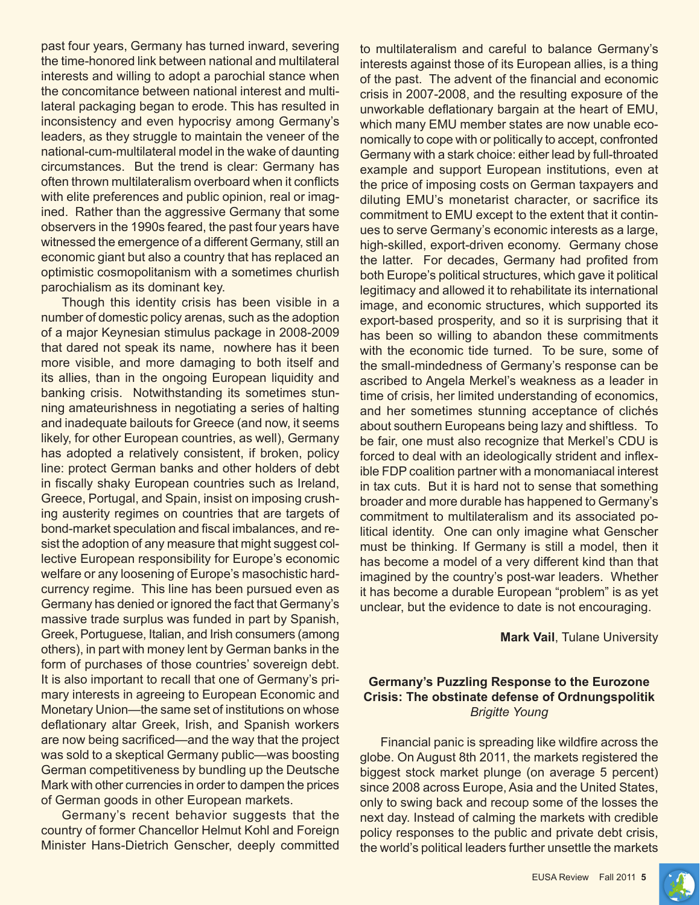past four years, Germany has turned inward, severing the time-honored link between national and multilateral interests and willing to adopt a parochial stance when the concomitance between national interest and multilateral packaging began to erode. This has resulted in inconsistency and even hypocrisy among Germany's leaders, as they struggle to maintain the veneer of the national-cum-multilateral model in the wake of daunting circumstances. But the trend is clear: Germany has often thrown multilateralism overboard when it conflicts with elite preferences and public opinion, real or imagined. Rather than the aggressive Germany that some observers in the 1990s feared, the past four years have witnessed the emergence of a different Germany, still an economic giant but also a country that has replaced an optimistic cosmopolitanism with a sometimes churlish parochialism as its dominant key.

Though this identity crisis has been visible in a number of domestic policy arenas, such as the adoption of a major Keynesian stimulus package in 2008-2009 that dared not speak its name, nowhere has it been more visible, and more damaging to both itself and its allies, than in the ongoing European liquidity and banking crisis. Notwithstanding its sometimes stunning amateurishness in negotiating a series of halting and inadequate bailouts for Greece (and now, it seems likely, for other European countries, as well), Germany has adopted a relatively consistent, if broken, policy line: protect German banks and other holders of debt in fiscally shaky European countries such as Ireland, Greece, Portugal, and Spain, insist on imposing crushing austerity regimes on countries that are targets of bond-market speculation and fiscal imbalances, and resist the adoption of any measure that might suggest collective European responsibility for Europe's economic welfare or any loosening of Europe's masochistic hardcurrency regime. This line has been pursued even as Germany has denied or ignored the fact that Germany's massive trade surplus was funded in part by Spanish, Greek, Portuguese, Italian, and Irish consumers (among others), in part with money lent by German banks in the form of purchases of those countries' sovereign debt. It is also important to recall that one of Germany's primary interests in agreeing to European Economic and Monetary Union—the same set of institutions on whose deflationary altar Greek, Irish, and Spanish workers are now being sacrificed—and the way that the project was sold to a skeptical Germany public—was boosting German competitiveness by bundling up the Deutsche Mark with other currencies in order to dampen the prices of German goods in other European markets.

Germany's recent behavior suggests that the country of former Chancellor Helmut Kohl and Foreign Minister Hans-Dietrich Genscher, deeply committed

to multilateralism and careful to balance Germany's interests against those of its European allies, is a thing of the past. The advent of the financial and economic crisis in 2007-2008, and the resulting exposure of the unworkable deflationary bargain at the heart of EMU, which many EMU member states are now unable economically to cope with or politically to accept, confronted Germany with a stark choice: either lead by full-throated example and support European institutions, even at the price of imposing costs on German taxpayers and diluting EMU's monetarist character, or sacrifice its commitment to EMU except to the extent that it continues to serve Germany's economic interests as a large, high-skilled, export-driven economy. Germany chose the latter. For decades, Germany had profited from both Europe's political structures, which gave it political legitimacy and allowed it to rehabilitate its international image, and economic structures, which supported its export-based prosperity, and so it is surprising that it has been so willing to abandon these commitments with the economic tide turned. To be sure, some of the small-mindedness of Germany's response can be ascribed to Angela Merkel's weakness as a leader in time of crisis, her limited understanding of economics, and her sometimes stunning acceptance of clichés about southern Europeans being lazy and shiftless. To be fair, one must also recognize that Merkel's CDU is forced to deal with an ideologically strident and inflexible FDP coalition partner with a monomaniacal interest in tax cuts. But it is hard not to sense that something broader and more durable has happened to Germany's commitment to multilateralism and its associated political identity. One can only imagine what Genscher must be thinking. If Germany is still a model, then it has become a model of a very different kind than that imagined by the country's post-war leaders. Whether it has become a durable European "problem" is as yet unclear, but the evidence to date is not encouraging.

#### **Mark Vail**, Tulane University

# **Germany's Puzzling Response to the Eurozone Crisis: The obstinate defense of Ordnungspolitik** *Brigitte Young*

Financial panic is spreading like wildfire across the globe. On August 8th 2011, the markets registered the biggest stock market plunge (on average 5 percent) since 2008 across Europe, Asia and the United States, only to swing back and recoup some of the losses the next day. Instead of calming the markets with credible policy responses to the public and private debt crisis, the world's political leaders further unsettle the markets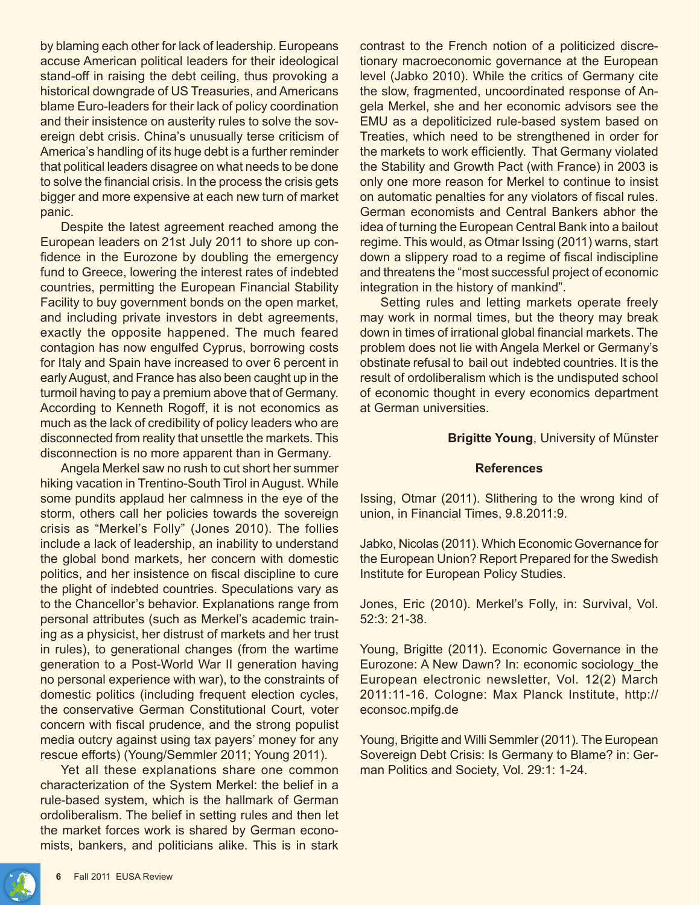by blaming each other for lack of leadership. Europeans accuse American political leaders for their ideological stand-off in raising the debt ceiling, thus provoking a historical downgrade of US Treasuries, and Americans blame Euro-leaders for their lack of policy coordination and their insistence on austerity rules to solve the sovereign debt crisis. China's unusually terse criticism of America's handling of its huge debt is a further reminder that political leaders disagree on what needs to be done to solve the financial crisis. In the process the crisis gets bigger and more expensive at each new turn of market panic.

Despite the latest agreement reached among the European leaders on 21st July 2011 to shore up confidence in the Eurozone by doubling the emergency fund to Greece, lowering the interest rates of indebted countries, permitting the European Financial Stability Facility to buy government bonds on the open market, and including private investors in debt agreements, exactly the opposite happened. The much feared contagion has now engulfed Cyprus, borrowing costs for Italy and Spain have increased to over 6 percent in early August, and France has also been caught up in the turmoil having to pay a premium above that of Germany. According to Kenneth Rogoff, it is not economics as much as the lack of credibility of policy leaders who are disconnected from reality that unsettle the markets. This disconnection is no more apparent than in Germany.

Angela Merkel saw no rush to cut short her summer hiking vacation in Trentino-South Tirol in August. While some pundits applaud her calmness in the eye of the storm, others call her policies towards the sovereign crisis as "Merkel's Folly" (Jones 2010). The follies include a lack of leadership, an inability to understand the global bond markets, her concern with domestic politics, and her insistence on fiscal discipline to cure the plight of indebted countries. Speculations vary as to the Chancellor's behavior. Explanations range from personal attributes (such as Merkel's academic training as a physicist, her distrust of markets and her trust in rules), to generational changes (from the wartime generation to a Post-World War II generation having no personal experience with war), to the constraints of domestic politics (including frequent election cycles, the conservative German Constitutional Court, voter concern with fiscal prudence, and the strong populist media outcry against using tax payers' money for any rescue efforts) (Young/Semmler 2011; Young 2011).

Yet all these explanations share one common characterization of the System Merkel: the belief in a rule-based system, which is the hallmark of German ordoliberalism. The belief in setting rules and then let the market forces work is shared by German economists, bankers, and politicians alike. This is in stark

contrast to the French notion of a politicized discretionary macroeconomic governance at the European level (Jabko 2010). While the critics of Germany cite the slow, fragmented, uncoordinated response of Angela Merkel, she and her economic advisors see the EMU as a depoliticized rule-based system based on Treaties, which need to be strengthened in order for the markets to work efficiently. That Germany violated the Stability and Growth Pact (with France) in 2003 is only one more reason for Merkel to continue to insist on automatic penalties for any violators of fiscal rules. German economists and Central Bankers abhor the idea of turning the European Central Bank into a bailout regime. This would, as Otmar Issing (2011) warns, start down a slippery road to a regime of fiscal indiscipline and threatens the "most successful project of economic integration in the history of mankind".

Setting rules and letting markets operate freely may work in normal times, but the theory may break down in times of irrational global financial markets. The problem does not lie with Angela Merkel or Germany's obstinate refusal to bail out indebted countries. It is the result of ordoliberalism which is the undisputed school of economic thought in every economics department at German universities.

**Brigitte Young**, University of Münster

#### **References**

Issing, Otmar (2011). Slithering to the wrong kind of union, in Financial Times, 9.8.2011:9.

Jabko, Nicolas (2011). Which Economic Governance for the European Union? Report Prepared for the Swedish Institute for European Policy Studies.

Jones, Eric (2010). Merkel's Folly, in: Survival, Vol. 52:3: 21-38.

Young, Brigitte (2011). Economic Governance in the Eurozone: A New Dawn? In: economic sociology\_the European electronic newsletter, Vol. 12(2) March 2011:11-16. Cologne: Max Planck Institute, http:// econsoc.mpifg.de

Young, Brigitte and Willi Semmler (2011). The European Sovereign Debt Crisis: Is Germany to Blame? in: German Politics and Society, Vol. 29:1: 1-24.

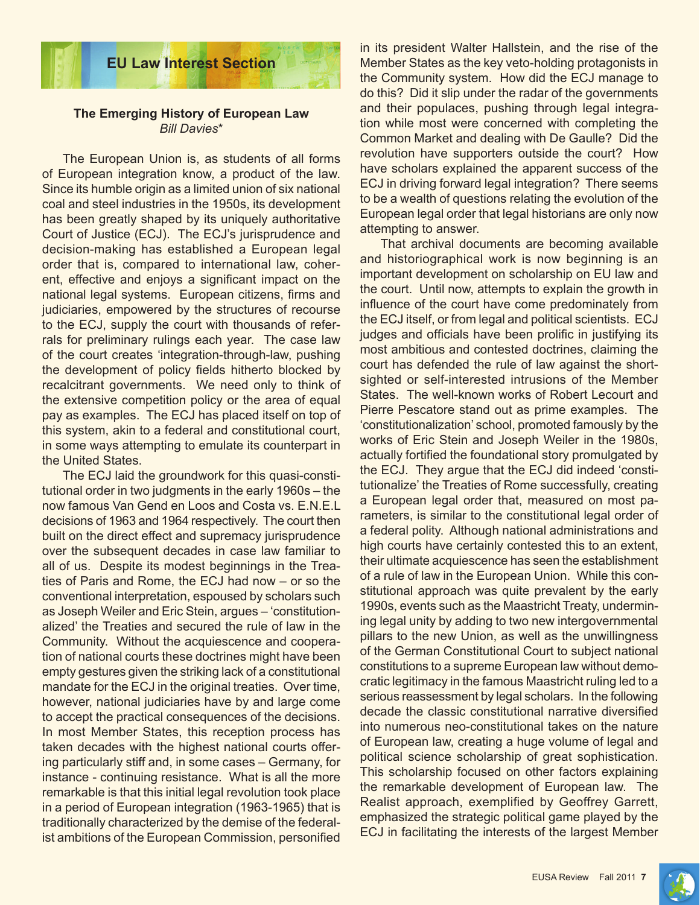

# **The Emerging History of European Law** *Bill Davies*\*

The European Union is, as students of all forms of European integration know, a product of the law. Since its humble origin as a limited union of six national coal and steel industries in the 1950s, its development has been greatly shaped by its uniquely authoritative Court of Justice (ECJ). The ECJ's jurisprudence and decision-making has established a European legal order that is, compared to international law, coherent, effective and enjoys a significant impact on the national legal systems. European citizens, firms and judiciaries, empowered by the structures of recourse to the ECJ, supply the court with thousands of referrals for preliminary rulings each year. The case law of the court creates 'integration-through-law, pushing the development of policy fields hitherto blocked by recalcitrant governments. We need only to think of the extensive competition policy or the area of equal pay as examples. The ECJ has placed itself on top of this system, akin to a federal and constitutional court, in some ways attempting to emulate its counterpart in the United States.

The ECJ laid the groundwork for this quasi-constitutional order in two judgments in the early 1960s – the now famous Van Gend en Loos and Costa vs. E.N.E.L decisions of 1963 and 1964 respectively. The court then built on the direct effect and supremacy jurisprudence over the subsequent decades in case law familiar to all of us. Despite its modest beginnings in the Treaties of Paris and Rome, the ECJ had now – or so the conventional interpretation, espoused by scholars such as Joseph Weiler and Eric Stein, argues – 'constitutionalized' the Treaties and secured the rule of law in the Community. Without the acquiescence and cooperation of national courts these doctrines might have been empty gestures given the striking lack of a constitutional mandate for the ECJ in the original treaties. Over time, however, national judiciaries have by and large come to accept the practical consequences of the decisions. In most Member States, this reception process has taken decades with the highest national courts offering particularly stiff and, in some cases – Germany, for instance - continuing resistance. What is all the more remarkable is that this initial legal revolution took place in a period of European integration (1963-1965) that is traditionally characterized by the demise of the federalist ambitions of the European Commission, personified

in its president Walter Hallstein, and the rise of the Member States as the key veto-holding protagonists in the Community system. How did the ECJ manage to do this? Did it slip under the radar of the governments and their populaces, pushing through legal integration while most were concerned with completing the Common Market and dealing with De Gaulle? Did the revolution have supporters outside the court? How have scholars explained the apparent success of the ECJ in driving forward legal integration? There seems to be a wealth of questions relating the evolution of the European legal order that legal historians are only now attempting to answer.

That archival documents are becoming available and historiographical work is now beginning is an important development on scholarship on EU law and the court. Until now, attempts to explain the growth in influence of the court have come predominately from the ECJ itself, or from legal and political scientists. ECJ judges and officials have been prolific in justifying its most ambitious and contested doctrines, claiming the court has defended the rule of law against the shortsighted or self-interested intrusions of the Member States. The well-known works of Robert Lecourt and Pierre Pescatore stand out as prime examples. The 'constitutionalization' school, promoted famously by the works of Eric Stein and Joseph Weiler in the 1980s, actually fortified the foundational story promulgated by the ECJ. They argue that the ECJ did indeed 'constitutionalize' the Treaties of Rome successfully, creating a European legal order that, measured on most parameters, is similar to the constitutional legal order of a federal polity. Although national administrations and high courts have certainly contested this to an extent, their ultimate acquiescence has seen the establishment of a rule of law in the European Union. While this constitutional approach was quite prevalent by the early 1990s, events such as the Maastricht Treaty, undermining legal unity by adding to two new intergovernmental pillars to the new Union, as well as the unwillingness of the German Constitutional Court to subject national constitutions to a supreme European law without democratic legitimacy in the famous Maastricht ruling led to a serious reassessment by legal scholars. In the following decade the classic constitutional narrative diversified into numerous neo-constitutional takes on the nature of European law, creating a huge volume of legal and political science scholarship of great sophistication. This scholarship focused on other factors explaining the remarkable development of European law. The Realist approach, exemplified by Geoffrey Garrett, emphasized the strategic political game played by the ECJ in facilitating the interests of the largest Member

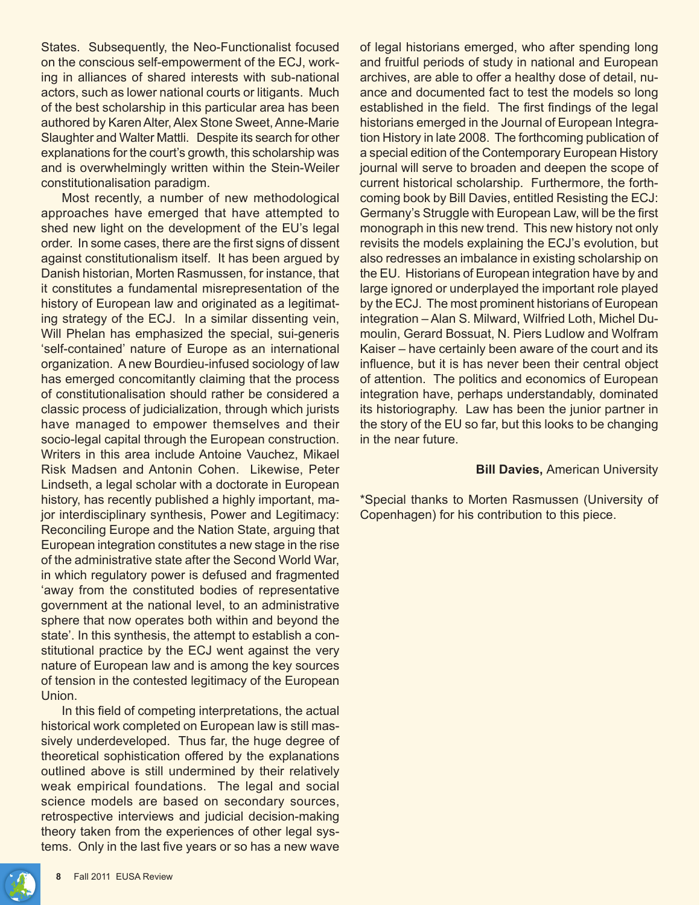States. Subsequently, the Neo-Functionalist focused on the conscious self-empowerment of the ECJ, working in alliances of shared interests with sub-national actors, such as lower national courts or litigants. Much of the best scholarship in this particular area has been authored by Karen Alter, Alex Stone Sweet, Anne-Marie Slaughter and Walter Mattli. Despite its search for other explanations for the court's growth, this scholarship was and is overwhelmingly written within the Stein-Weiler constitutionalisation paradigm.

Most recently, a number of new methodological approaches have emerged that have attempted to shed new light on the development of the EU's legal order. In some cases, there are the first signs of dissent against constitutionalism itself. It has been argued by Danish historian, Morten Rasmussen, for instance, that it constitutes a fundamental misrepresentation of the history of European law and originated as a legitimating strategy of the ECJ. In a similar dissenting vein, Will Phelan has emphasized the special, sui-generis 'self-contained' nature of Europe as an international organization. A new Bourdieu-infused sociology of law has emerged concomitantly claiming that the process of constitutionalisation should rather be considered a classic process of judicialization, through which jurists have managed to empower themselves and their socio-legal capital through the European construction. Writers in this area include Antoine Vauchez, Mikael Risk Madsen and Antonin Cohen. Likewise, Peter Lindseth, a legal scholar with a doctorate in European history, has recently published a highly important, major interdisciplinary synthesis, Power and Legitimacy: Reconciling Europe and the Nation State, arguing that European integration constitutes a new stage in the rise of the administrative state after the Second World War, in which regulatory power is defused and fragmented 'away from the constituted bodies of representative government at the national level, to an administrative sphere that now operates both within and beyond the state'. In this synthesis, the attempt to establish a constitutional practice by the ECJ went against the very nature of European law and is among the key sources of tension in the contested legitimacy of the European Union.

In this field of competing interpretations, the actual historical work completed on European law is still massively underdeveloped. Thus far, the huge degree of theoretical sophistication offered by the explanations outlined above is still undermined by their relatively weak empirical foundations. The legal and social science models are based on secondary sources, retrospective interviews and judicial decision-making theory taken from the experiences of other legal systems. Only in the last five years or so has a new wave

of legal historians emerged, who after spending long and fruitful periods of study in national and European archives, are able to offer a healthy dose of detail, nuance and documented fact to test the models so long established in the field. The first findings of the legal historians emerged in the Journal of European Integration History in late 2008. The forthcoming publication of a special edition of the Contemporary European History journal will serve to broaden and deepen the scope of current historical scholarship. Furthermore, the forthcoming book by Bill Davies, entitled Resisting the ECJ: Germany's Struggle with European Law, will be the first monograph in this new trend. This new history not only revisits the models explaining the ECJ's evolution, but also redresses an imbalance in existing scholarship on the EU. Historians of European integration have by and large ignored or underplayed the important role played by the ECJ. The most prominent historians of European integration – Alan S. Milward, Wilfried Loth, Michel Dumoulin, Gerard Bossuat, N. Piers Ludlow and Wolfram Kaiser – have certainly been aware of the court and its influence, but it is has never been their central object of attention. The politics and economics of European integration have, perhaps understandably, dominated its historiography. Law has been the junior partner in the story of the EU so far, but this looks to be changing in the near future.

#### **Bill Davies,** American University

\*Special thanks to Morten Rasmussen (University of Copenhagen) for his contribution to this piece.

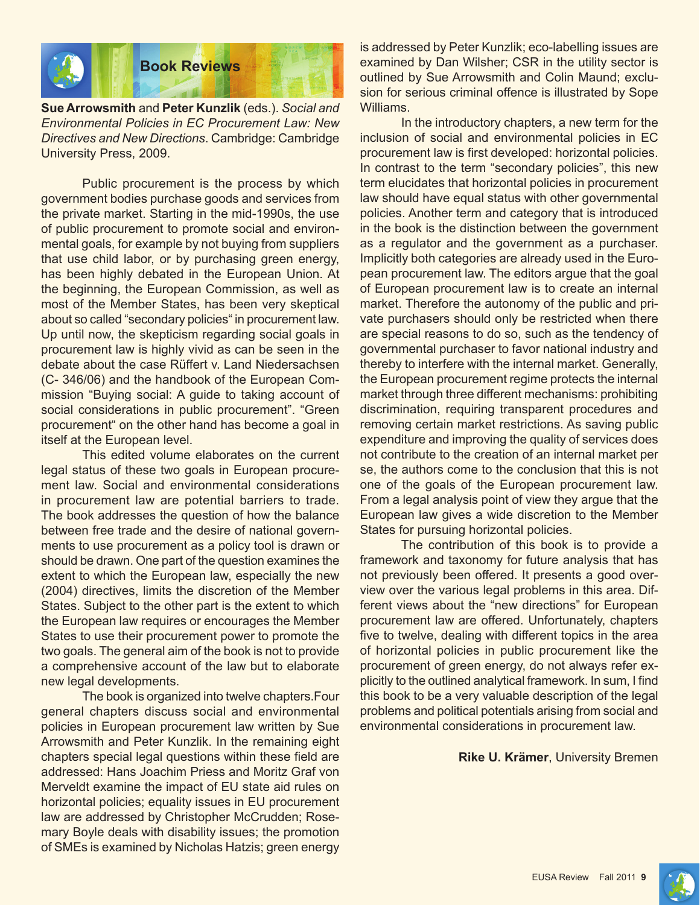

**Sue Arrowsmith** and **Peter Kunzlik** (eds.). *Social and Environmental Policies in EC Procurement Law: New Directives and New Directions*. Cambridge: Cambridge University Press, 2009.

Public procurement is the process by which government bodies purchase goods and services from the private market. Starting in the mid-1990s, the use of public procurement to promote social and environmental goals, for example by not buying from suppliers that use child labor, or by purchasing green energy, has been highly debated in the European Union. At the beginning, the European Commission, as well as most of the Member States, has been very skeptical about so called "secondary policies" in procurement law. Up until now, the skepticism regarding social goals in procurement law is highly vivid as can be seen in the debate about the case Rüffert v. Land Niedersachsen (C- 346/06) and the handbook of the European Commission "Buying social: A guide to taking account of social considerations in public procurement". "Green procurement" on the other hand has become a goal in itself at the European level.

This edited volume elaborates on the current legal status of these two goals in European procurement law. Social and environmental considerations in procurement law are potential barriers to trade. The book addresses the question of how the balance between free trade and the desire of national governments to use procurement as a policy tool is drawn or should be drawn. One part of the question examines the extent to which the European law, especially the new (2004) directives, limits the discretion of the Member States. Subject to the other part is the extent to which the European law requires or encourages the Member States to use their procurement power to promote the two goals. The general aim of the book is not to provide a comprehensive account of the law but to elaborate new legal developments.

The book is organized into twelve chapters.Four general chapters discuss social and environmental policies in European procurement law written by Sue Arrowsmith and Peter Kunzlik. In the remaining eight chapters special legal questions within these field are addressed: Hans Joachim Priess and Moritz Graf von Merveldt examine the impact of EU state aid rules on horizontal policies; equality issues in EU procurement law are addressed by Christopher McCrudden; Rosemary Boyle deals with disability issues; the promotion of SMEs is examined by Nicholas Hatzis; green energy

is addressed by Peter Kunzlik; eco-labelling issues are examined by Dan Wilsher; CSR in the utility sector is outlined by Sue Arrowsmith and Colin Maund; exclusion for serious criminal offence is illustrated by Sope Williams.

In the introductory chapters, a new term for the inclusion of social and environmental policies in EC procurement law is first developed: horizontal policies. In contrast to the term "secondary policies", this new term elucidates that horizontal policies in procurement law should have equal status with other governmental policies. Another term and category that is introduced in the book is the distinction between the government as a regulator and the government as a purchaser. Implicitly both categories are already used in the European procurement law. The editors argue that the goal of European procurement law is to create an internal market. Therefore the autonomy of the public and private purchasers should only be restricted when there are special reasons to do so, such as the tendency of governmental purchaser to favor national industry and thereby to interfere with the internal market. Generally, the European procurement regime protects the internal market through three different mechanisms: prohibiting discrimination, requiring transparent procedures and removing certain market restrictions. As saving public expenditure and improving the quality of services does not contribute to the creation of an internal market per se, the authors come to the conclusion that this is not one of the goals of the European procurement law. From a legal analysis point of view they argue that the European law gives a wide discretion to the Member States for pursuing horizontal policies.

The contribution of this book is to provide a framework and taxonomy for future analysis that has not previously been offered. It presents a good overview over the various legal problems in this area. Different views about the "new directions" for European procurement law are offered. Unfortunately, chapters five to twelve, dealing with different topics in the area of horizontal policies in public procurement like the procurement of green energy, do not always refer explicitly to the outlined analytical framework. In sum, I find this book to be a very valuable description of the legal problems and political potentials arising from social and environmental considerations in procurement law.

#### **Rike U. Krämer**, University Bremen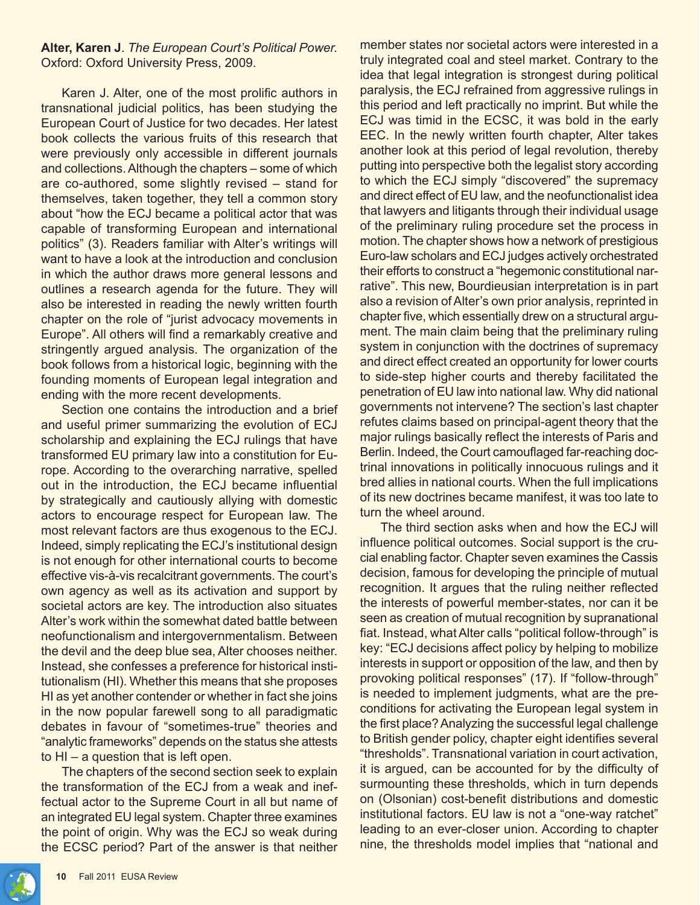#### **Alter, Karen J**. *The European Court's Political Power.* Oxford: Oxford University Press, 2009.

Karen J. Alter, one of the most prolific authors in transnational judicial politics, has been studying the European Court of Justice for two decades. Her latest book collects the various fruits of this research that were previously only accessible in different journals and collections. Although the chapters – some of which are co-authored, some slightly revised – stand for themselves, taken together, they tell a common story about "how the ECJ became a political actor that was capable of transforming European and international politics" (3). Readers familiar with Alter's writings will want to have a look at the introduction and conclusion in which the author draws more general lessons and outlines a research agenda for the future. They will also be interested in reading the newly written fourth chapter on the role of "jurist advocacy movements in Europe". All others will find a remarkably creative and stringently argued analysis. The organization of the book follows from a historical logic, beginning with the founding moments of European legal integration and ending with the more recent developments.

Section one contains the introduction and a brief and useful primer summarizing the evolution of ECJ scholarship and explaining the ECJ rulings that have transformed EU primary law into a constitution for Europe. According to the overarching narrative, spelled out in the introduction, the ECJ became influential by strategically and cautiously allying with domestic actors to encourage respect for European law. The most relevant factors are thus exogenous to the ECJ. Indeed, simply replicating the ECJ's institutional design is not enough for other international courts to become effective vis-à-vis recalcitrant governments. The court's own agency as well as its activation and support by societal actors are key. The introduction also situates Alter's work within the somewhat dated battle between neofunctionalism and intergovernmentalism. Between the devil and the deep blue sea, Alter chooses neither. Instead, she confesses a preference for historical institutionalism (HI). Whether this means that she proposes HI as yet another contender or whether in fact she joins in the now popular farewell song to all paradigmatic debates in favour of "sometimes-true" theories and "analytic frameworks" depends on the status she attests to HI – a question that is left open.

The chapters of the second section seek to explain the transformation of the ECJ from a weak and ineffectual actor to the Supreme Court in all but name of an integrated EU legal system. Chapter three examines the point of origin. Why was the ECJ so weak during the ECSC period? Part of the answer is that neither

member states nor societal actors were interested in a truly integrated coal and steel market. Contrary to the idea that legal integration is strongest during political paralysis, the ECJ refrained from aggressive rulings in this period and left practically no imprint. But while the ECJ was timid in the ECSC, it was bold in the early EEC. In the newly written fourth chapter, Alter takes another look at this period of legal revolution, thereby putting into perspective both the legalist story according to which the ECJ simply "discovered" the supremacy and direct effect of EU law, and the neofunctionalist idea that lawyers and litigants through their individual usage of the preliminary ruling procedure set the process in motion. The chapter shows how a network of prestigious Euro-law scholars and ECJ judges actively orchestrated their efforts to construct a "hegemonic constitutional narrative". This new, Bourdieusian interpretation is in part also a revision of Alter's own prior analysis, reprinted in chapter five, which essentially drew on a structural argument. The main claim being that the preliminary ruling system in conjunction with the doctrines of supremacy and direct effect created an opportunity for lower courts to side-step higher courts and thereby facilitated the penetration of EU law into national law. Why did national governments not intervene? The section's last chapter refutes claims based on principal-agent theory that the major rulings basically reflect the interests of Paris and Berlin. Indeed, the Court camouflaged far-reaching doctrinal innovations in politically innocuous rulings and it bred allies in national courts. When the full implications of its new doctrines became manifest, it was too late to turn the wheel around.

The third section asks when and how the ECJ will influence political outcomes. Social support is the crucial enabling factor. Chapter seven examines the Cassis decision, famous for developing the principle of mutual recognition. It argues that the ruling neither reflected the interests of powerful member-states, nor can it be seen as creation of mutual recognition by supranational fiat. Instead, what Alter calls "political follow-through" is key: "ECJ decisions affect policy by helping to mobilize interests in support or opposition of the law, and then by provoking political responses" (17). If "follow-through" is needed to implement judgments, what are the preconditions for activating the European legal system in the first place? Analyzing the successful legal challenge to British gender policy, chapter eight identifies several "thresholds". Transnational variation in court activation, it is argued, can be accounted for by the difficulty of surmounting these thresholds, which in turn depends on (Olsonian) cost-benefit distributions and domestic institutional factors. EU law is not a "one-way ratchet" leading to an ever-closer union. According to chapter nine, the thresholds model implies that "national and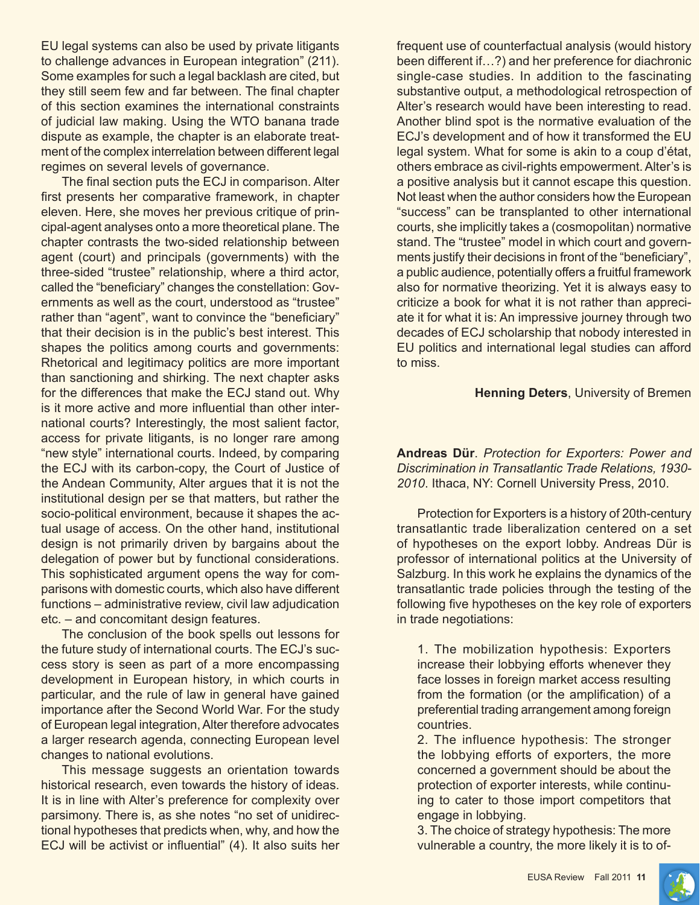EU legal systems can also be used by private litigants to challenge advances in European integration" (211). Some examples for such a legal backlash are cited, but they still seem few and far between. The final chapter of this section examines the international constraints of judicial law making. Using the WTO banana trade dispute as example, the chapter is an elaborate treatment of the complex interrelation between different legal regimes on several levels of governance.

The final section puts the ECJ in comparison. Alter first presents her comparative framework, in chapter eleven. Here, she moves her previous critique of principal-agent analyses onto a more theoretical plane. The chapter contrasts the two-sided relationship between agent (court) and principals (governments) with the three-sided "trustee" relationship, where a third actor, called the "beneficiary" changes the constellation: Governments as well as the court, understood as "trustee" rather than "agent", want to convince the "beneficiary" that their decision is in the public's best interest. This shapes the politics among courts and governments: Rhetorical and legitimacy politics are more important than sanctioning and shirking. The next chapter asks for the differences that make the ECJ stand out. Why is it more active and more influential than other international courts? Interestingly, the most salient factor, access for private litigants, is no longer rare among "new style" international courts. Indeed, by comparing the ECJ with its carbon-copy, the Court of Justice of the Andean Community, Alter argues that it is not the institutional design per se that matters, but rather the socio-political environment, because it shapes the actual usage of access. On the other hand, institutional design is not primarily driven by bargains about the delegation of power but by functional considerations. This sophisticated argument opens the way for comparisons with domestic courts, which also have different functions – administrative review, civil law adjudication etc. – and concomitant design features.

The conclusion of the book spells out lessons for the future study of international courts. The ECJ's success story is seen as part of a more encompassing development in European history, in which courts in particular, and the rule of law in general have gained importance after the Second World War. For the study of European legal integration, Alter therefore advocates a larger research agenda, connecting European level changes to national evolutions.

This message suggests an orientation towards historical research, even towards the history of ideas. It is in line with Alter's preference for complexity over parsimony. There is, as she notes "no set of unidirectional hypotheses that predicts when, why, and how the ECJ will be activist or influential" (4). It also suits her frequent use of counterfactual analysis (would history been different if…?) and her preference for diachronic single-case studies. In addition to the fascinating substantive output, a methodological retrospection of Alter's research would have been interesting to read. Another blind spot is the normative evaluation of the ECJ's development and of how it transformed the EU legal system. What for some is akin to a coup d'état, others embrace as civil-rights empowerment. Alter's is a positive analysis but it cannot escape this question. Not least when the author considers how the European "success" can be transplanted to other international courts, she implicitly takes a (cosmopolitan) normative stand. The "trustee" model in which court and governments justify their decisions in front of the "beneficiary", a public audience, potentially offers a fruitful framework also for normative theorizing. Yet it is always easy to criticize a book for what it is not rather than appreciate it for what it is: An impressive journey through two decades of ECJ scholarship that nobody interested in EU politics and international legal studies can afford to miss.

#### **Henning Deters**, University of Bremen

**Andreas Dür**. *Protection for Exporters: Power and Discrimination in Transatlantic Trade Relations, 1930- 2010*. Ithaca, NY: Cornell University Press, 2010.

Protection for Exporters is a history of 20th-century transatlantic trade liberalization centered on a set of hypotheses on the export lobby. Andreas Dür is professor of international politics at the University of Salzburg. In this work he explains the dynamics of the transatlantic trade policies through the testing of the following five hypotheses on the key role of exporters in trade negotiations:

1. The mobilization hypothesis: Exporters increase their lobbying efforts whenever they face losses in foreign market access resulting from the formation (or the amplification) of a preferential trading arrangement among foreign countries.

2. The influence hypothesis: The stronger the lobbying efforts of exporters, the more concerned a government should be about the protection of exporter interests, while continuing to cater to those import competitors that engage in lobbying.

3. The choice of strategy hypothesis: The more vulnerable a country, the more likely it is to of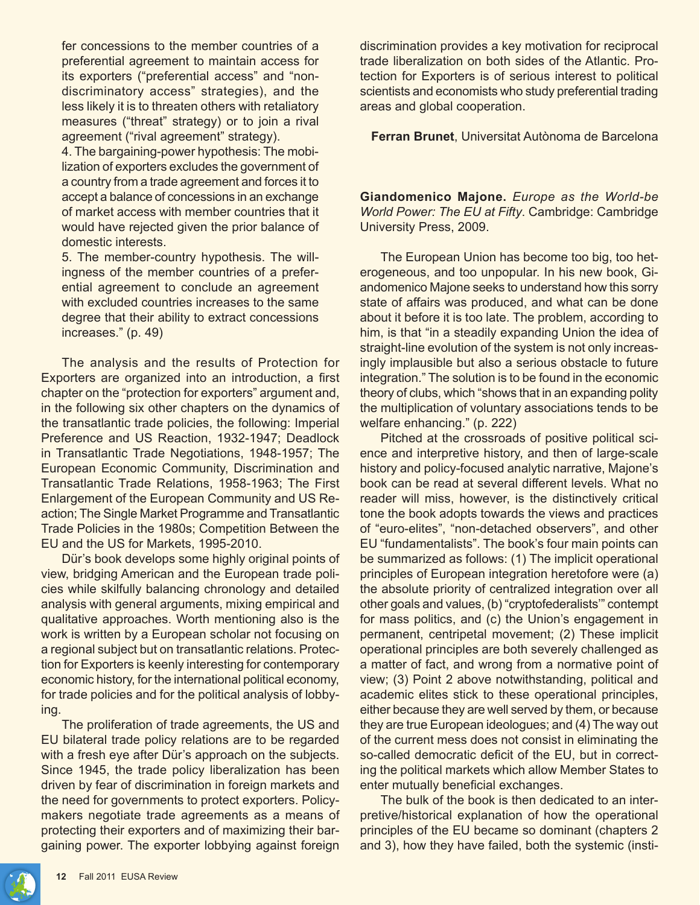fer concessions to the member countries of a preferential agreement to maintain access for its exporters ("preferential access" and "nondiscriminatory access" strategies), and the less likely it is to threaten others with retaliatory measures ("threat" strategy) or to join a rival agreement ("rival agreement" strategy).

4. The bargaining-power hypothesis: The mobilization of exporters excludes the government of a country from a trade agreement and forces it to accept a balance of concessions in an exchange of market access with member countries that it would have rejected given the prior balance of domestic interests.

5. The member-country hypothesis. The willingness of the member countries of a preferential agreement to conclude an agreement with excluded countries increases to the same degree that their ability to extract concessions increases." (p. 49)

The analysis and the results of Protection for Exporters are organized into an introduction, a first chapter on the "protection for exporters" argument and, in the following six other chapters on the dynamics of the transatlantic trade policies, the following: Imperial Preference and US Reaction, 1932-1947; Deadlock in Transatlantic Trade Negotiations, 1948-1957; The European Economic Community, Discrimination and Transatlantic Trade Relations, 1958-1963; The First Enlargement of the European Community and US Reaction; The Single Market Programme and Transatlantic Trade Policies in the 1980s; Competition Between the EU and the US for Markets, 1995-2010.

Dür's book develops some highly original points of view, bridging American and the European trade policies while skilfully balancing chronology and detailed analysis with general arguments, mixing empirical and qualitative approaches. Worth mentioning also is the work is written by a European scholar not focusing on a regional subject but on transatlantic relations. Protection for Exporters is keenly interesting for contemporary economic history, for the international political economy, for trade policies and for the political analysis of lobbying.

The proliferation of trade agreements, the US and EU bilateral trade policy relations are to be regarded with a fresh eye after Dür's approach on the subjects. Since 1945, the trade policy liberalization has been driven by fear of discrimination in foreign markets and the need for governments to protect exporters. Policymakers negotiate trade agreements as a means of protecting their exporters and of maximizing their bargaining power. The exporter lobbying against foreign

discrimination provides a key motivation for reciprocal trade liberalization on both sides of the Atlantic. Protection for Exporters is of serious interest to political scientists and economists who study preferential trading areas and global cooperation.

**Ferran Brunet**, Universitat Autònoma de Barcelona

**Giandomenico Majone.** *Europe as the World-be World Power: The EU at Fifty*. Cambridge: Cambridge University Press, 2009.

The European Union has become too big, too heterogeneous, and too unpopular. In his new book, Giandomenico Majone seeks to understand how this sorry state of affairs was produced, and what can be done about it before it is too late. The problem, according to him, is that "in a steadily expanding Union the idea of straight-line evolution of the system is not only increasingly implausible but also a serious obstacle to future integration." The solution is to be found in the economic theory of clubs, which "shows that in an expanding polity the multiplication of voluntary associations tends to be welfare enhancing." (p. 222)

Pitched at the crossroads of positive political science and interpretive history, and then of large-scale history and policy-focused analytic narrative, Majone's book can be read at several different levels. What no reader will miss, however, is the distinctively critical tone the book adopts towards the views and practices of "euro-elites", "non-detached observers", and other EU "fundamentalists". The book's four main points can be summarized as follows: (1) The implicit operational principles of European integration heretofore were (a) the absolute priority of centralized integration over all other goals and values, (b) "cryptofederalists'" contempt for mass politics, and (c) the Union's engagement in permanent, centripetal movement; (2) These implicit operational principles are both severely challenged as a matter of fact, and wrong from a normative point of view; (3) Point 2 above notwithstanding, political and academic elites stick to these operational principles, either because they are well served by them, or because they are true European ideologues; and (4) The way out of the current mess does not consist in eliminating the so-called democratic deficit of the EU, but in correcting the political markets which allow Member States to enter mutually beneficial exchanges.

The bulk of the book is then dedicated to an interpretive/historical explanation of how the operational principles of the EU became so dominant (chapters 2 and 3), how they have failed, both the systemic (insti-

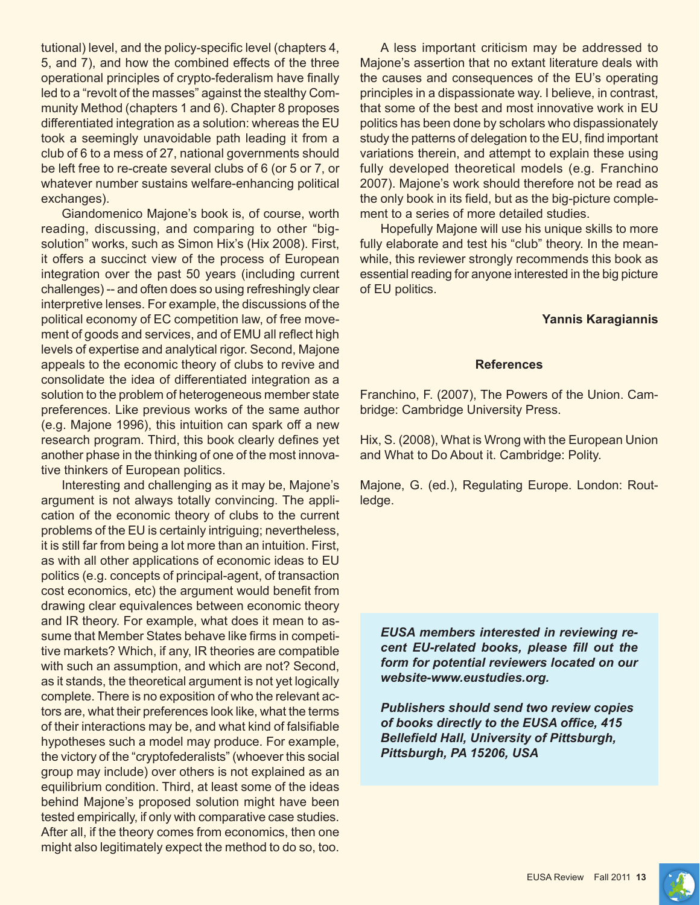tutional) level, and the policy-specific level (chapters 4, 5, and 7), and how the combined effects of the three operational principles of crypto-federalism have finally led to a "revolt of the masses" against the stealthy Community Method (chapters 1 and 6). Chapter 8 proposes differentiated integration as a solution: whereas the EU took a seemingly unavoidable path leading it from a club of 6 to a mess of 27, national governments should be left free to re-create several clubs of 6 (or 5 or 7, or whatever number sustains welfare-enhancing political exchanges).

Giandomenico Majone's book is, of course, worth reading, discussing, and comparing to other "bigsolution" works, such as Simon Hix's (Hix 2008). First, it offers a succinct view of the process of European integration over the past 50 years (including current challenges) -- and often does so using refreshingly clear interpretive lenses. For example, the discussions of the political economy of EC competition law, of free movement of goods and services, and of EMU all reflect high levels of expertise and analytical rigor. Second, Majone appeals to the economic theory of clubs to revive and consolidate the idea of differentiated integration as a solution to the problem of heterogeneous member state preferences. Like previous works of the same author (e.g. Majone 1996), this intuition can spark off a new research program. Third, this book clearly defines yet another phase in the thinking of one of the most innovative thinkers of European politics.

Interesting and challenging as it may be, Majone's argument is not always totally convincing. The application of the economic theory of clubs to the current problems of the EU is certainly intriguing; nevertheless, it is still far from being a lot more than an intuition. First, as with all other applications of economic ideas to EU politics (e.g. concepts of principal-agent, of transaction cost economics, etc) the argument would benefit from drawing clear equivalences between economic theory and IR theory. For example, what does it mean to assume that Member States behave like firms in competitive markets? Which, if any, IR theories are compatible with such an assumption, and which are not? Second, as it stands, the theoretical argument is not yet logically complete. There is no exposition of who the relevant actors are, what their preferences look like, what the terms of their interactions may be, and what kind of falsifiable hypotheses such a model may produce. For example, the victory of the "cryptofederalists" (whoever this social group may include) over others is not explained as an equilibrium condition. Third, at least some of the ideas behind Majone's proposed solution might have been tested empirically, if only with comparative case studies. After all, if the theory comes from economics, then one might also legitimately expect the method to do so, too.

A less important criticism may be addressed to Majone's assertion that no extant literature deals with the causes and consequences of the EU's operating principles in a dispassionate way. I believe, in contrast, that some of the best and most innovative work in EU politics has been done by scholars who dispassionately study the patterns of delegation to the EU, find important variations therein, and attempt to explain these using fully developed theoretical models (e.g. Franchino 2007). Majone's work should therefore not be read as the only book in its field, but as the big-picture complement to a series of more detailed studies.

Hopefully Majone will use his unique skills to more fully elaborate and test his "club" theory. In the meanwhile, this reviewer strongly recommends this book as essential reading for anyone interested in the big picture of EU politics.

#### **Yannis Karagiannis**

#### **References**

Franchino, F. (2007), The Powers of the Union. Cambridge: Cambridge University Press.

Hix, S. (2008), What is Wrong with the European Union and What to Do About it. Cambridge: Polity.

Majone, G. (ed.), Regulating Europe. London: Routledge.

*EUSA members interested in reviewing recent EU-related books, please fill out the form for potential reviewers located on our website-www.eustudies.org.*

*Publishers should send two review copies of books directly to the EUSA office, 415 Bellefield Hall, University of Pittsburgh, Pittsburgh, PA 15206, USA*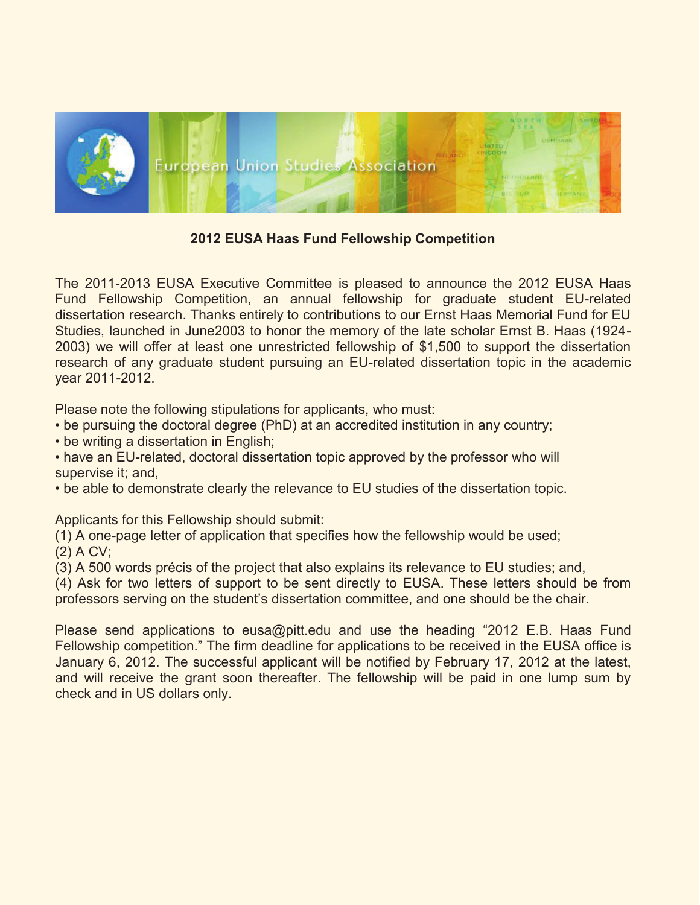

**2012 EUSA Haas Fund Fellowship Competition**

The 2011-2013 EUSA Executive Committee is pleased to announce the 2012 EUSA Haas Fund Fellowship Competition, an annual fellowship for graduate student EU-related dissertation research. Thanks entirely to contributions to our Ernst Haas Memorial Fund for EU Studies, launched in June2003 to honor the memory of the late scholar Ernst B. Haas (1924- 2003) we will offer at least one unrestricted fellowship of \$1,500 to support the dissertation research of any graduate student pursuing an EU-related dissertation topic in the academic year 2011-2012.

Please note the following stipulations for applicants, who must:

- be pursuing the doctoral degree (PhD) at an accredited institution in any country;
- be writing a dissertation in English;

• have an EU-related, doctoral dissertation topic approved by the professor who will supervise it; and,

• be able to demonstrate clearly the relevance to EU studies of the dissertation topic.

Applicants for this Fellowship should submit:

(1) A one-page letter of application that specifies how the fellowship would be used; (2) A CV;

(3) A 500 words précis of the project that also explains its relevance to EU studies; and,

(4) Ask for two letters of support to be sent directly to EUSA. These letters should be from professors serving on the student's dissertation committee, and one should be the chair.

Please send applications to eusa@pitt.edu and use the heading "2012 E.B. Haas Fund Fellowship competition." The firm deadline for applications to be received in the EUSA office is January 6, 2012. The successful applicant will be notified by February 17, 2012 at the latest, and will receive the grant soon thereafter. The fellowship will be paid in one lump sum by check and in US dollars only.